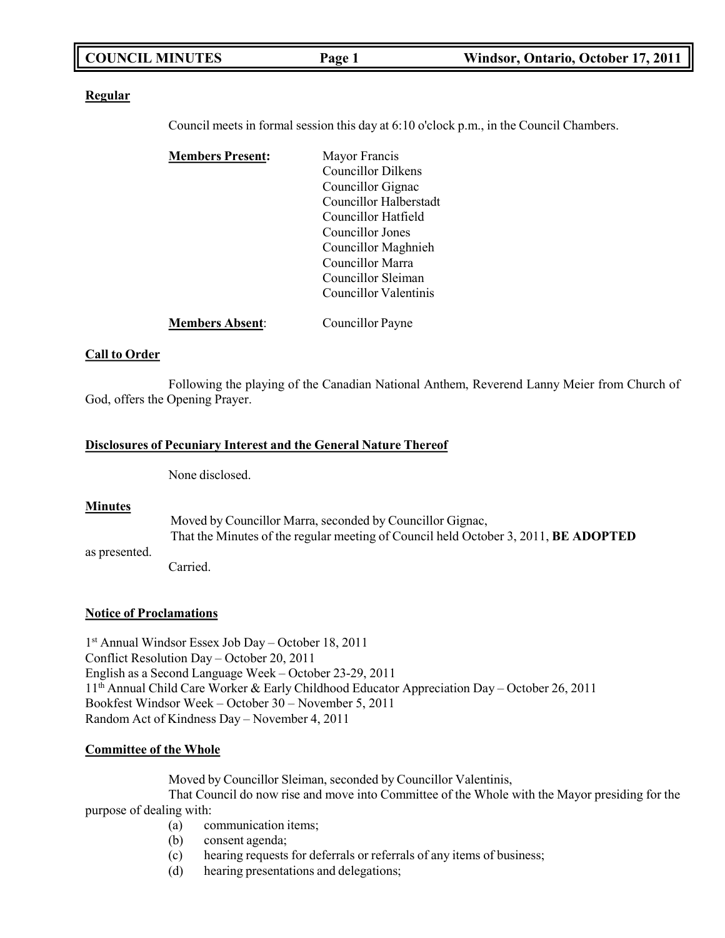| <b>COUNCIL MINUTES</b> | Page 1 | Windsor, Ontario, October 17, 2011 |
|------------------------|--------|------------------------------------|
|                        |        |                                    |

#### **Regular**

Council meets in formal session this day at 6:10 o'clock p.m., in the Council Chambers.

| <b>Members Present:</b> | Mayor Francis             |
|-------------------------|---------------------------|
|                         | <b>Councillor Dilkens</b> |
|                         | Councillor Gignac         |
|                         | Councillor Halberstadt    |
|                         | Councillor Hatfield       |
|                         | Councillor Jones          |
|                         | Councillor Maghnieh       |
|                         | Councillor Marra          |
|                         | Councillor Sleiman        |
|                         | Councillor Valentinis     |
| <b>Members Absent:</b>  | Councillor Payne          |

#### **Call to Order**

Following the playing of the Canadian National Anthem, Reverend Lanny Meier from Church of God, offers the Opening Prayer.

#### **Disclosures of Pecuniary Interest and the General Nature Thereof**

None disclosed.

#### **Minutes**

as presented.

Moved by Councillor Marra, seconded by Councillor Gignac, That the Minutes of the regular meeting of Council held October 3, 2011, **BE ADOPTED**

Carried.

#### **Notice of Proclamations**

1 st Annual Windsor Essex Job Day – October 18, 2011 Conflict Resolution Day – October 20, 2011 English as a Second Language Week – October 23-29, 2011 11th Annual Child Care Worker & Early Childhood Educator Appreciation Day – October 26, 2011 Bookfest Windsor Week – October 30 – November 5, 2011 Random Act of Kindness Day – November 4, 2011

#### **Committee of the Whole**

Moved by Councillor Sleiman, seconded by Councillor Valentinis,

That Council do now rise and move into Committee of the Whole with the Mayor presiding for the purpose of dealing with:

- (a) communication items;
- (b) consent agenda;
- (c) hearing requests for deferrals or referrals of any items of business;
- (d) hearing presentations and delegations;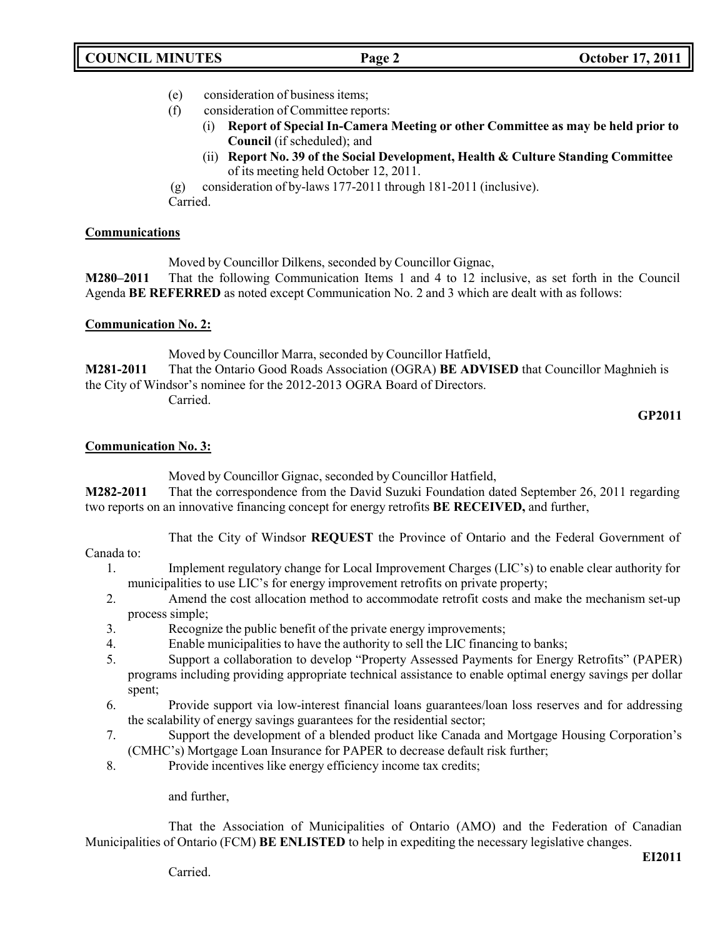- (e) consideration of business items;
- (f) consideration of Committee reports:
	- (i) **Report of Special In-Camera Meeting or other Committee as may be held prior to Council** (if scheduled); and
	- (ii) **Report No. 39 of the Social Development, Health & Culture Standing Committee** of its meeting held October 12, 2011.

(g) consideration of by-laws 177-2011 through 181-2011 (inclusive). Carried.

### **Communications**

Moved by Councillor Dilkens, seconded by Councillor Gignac,

**M280–2011** That the following Communication Items 1 and 4 to 12 inclusive, as set forth in the Council Agenda **BE REFERRED** as noted except Communication No. 2 and 3 which are dealt with as follows:

### **Communication No. 2:**

Moved by Councillor Marra, seconded by Councillor Hatfield,

**M281-2011** That the Ontario Good Roads Association (OGRA) **BE ADVISED** that Councillor Maghnieh is the City of Windsor's nominee for the 2012-2013 OGRA Board of Directors.

Carried.

#### **GP2011**

# **Communication No. 3:**

Moved by Councillor Gignac, seconded by Councillor Hatfield,

**M282-2011** That the correspondence from the David Suzuki Foundation dated September 26, 2011 regarding two reports on an innovative financing concept for energy retrofits **BE RECEIVED,** and further,

That the City of Windsor **REQUEST** the Province of Ontario and the Federal Government of

Canada to:

- 1. Implement regulatory change for Local Improvement Charges (LIC's) to enable clear authority for municipalities to use LIC's for energy improvement retrofits on private property;
- 2. Amend the cost allocation method to accommodate retrofit costs and make the mechanism set-up process simple;
- 3. Recognize the public benefit of the private energy improvements;
- 4. Enable municipalities to have the authority to sell the LIC financing to banks;
- 5. Support a collaboration to develop "Property Assessed Payments for Energy Retrofits" (PAPER) programs including providing appropriate technical assistance to enable optimal energy savings per dollar spent;
- 6. Provide support via low-interest financial loans guarantees/loan loss reserves and for addressing the scalability of energy savings guarantees for the residential sector;
- 7. Support the development of a blended product like Canada and Mortgage Housing Corporation's (CMHC's) Mortgage Loan Insurance for PAPER to decrease default risk further;
- 8. Provide incentives like energy efficiency income tax credits;

and further,

That the Association of Municipalities of Ontario (AMO) and the Federation of Canadian Municipalities of Ontario (FCM) **BE ENLISTED** to help in expediting the necessary legislative changes.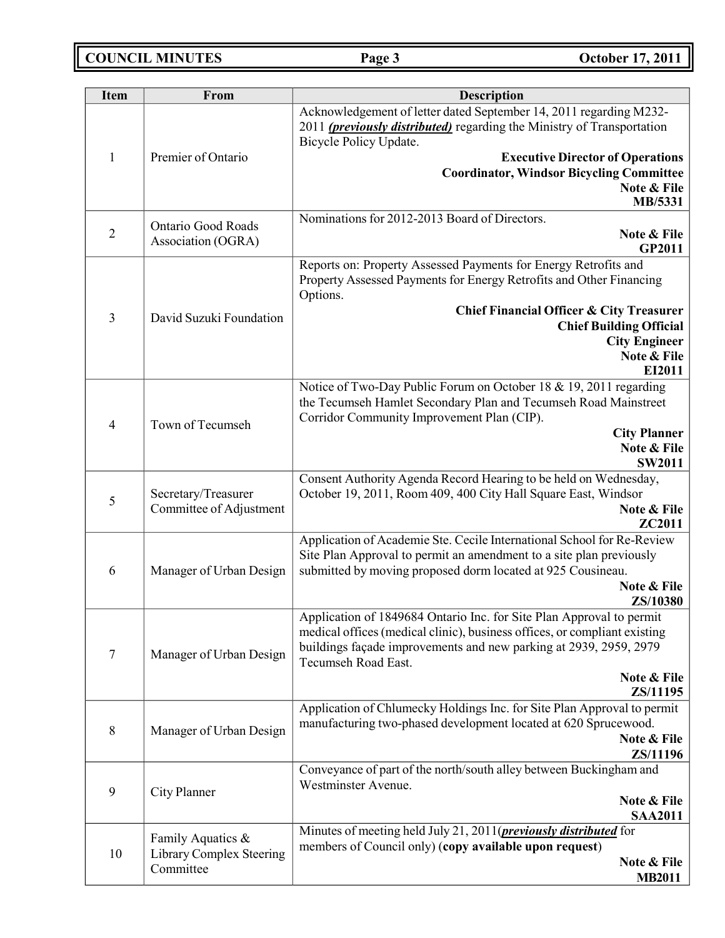**COUNCIL MINUTES Page 3 October 17, 2011**

| <b>Item</b>    | From                                  | <b>Description</b>                                                                                                                                                              |
|----------------|---------------------------------------|---------------------------------------------------------------------------------------------------------------------------------------------------------------------------------|
|                |                                       | Acknowledgement of letter dated September 14, 2011 regarding M232-<br>2011 ( <i>previously distributed</i> ) regarding the Ministry of Transportation<br>Bicycle Policy Update. |
| $\mathbf{1}$   | Premier of Ontario                    | <b>Executive Director of Operations</b>                                                                                                                                         |
|                |                                       | <b>Coordinator, Windsor Bicycling Committee</b>                                                                                                                                 |
|                |                                       | Note & File<br>MB/5331                                                                                                                                                          |
|                | <b>Ontario Good Roads</b>             | Nominations for 2012-2013 Board of Directors.                                                                                                                                   |
| $\mathbf{2}$   | Association (OGRA)                    | Note & File<br><b>GP2011</b>                                                                                                                                                    |
|                |                                       | Reports on: Property Assessed Payments for Energy Retrofits and<br>Property Assessed Payments for Energy Retrofits and Other Financing<br>Options.                              |
| $\mathfrak{Z}$ | David Suzuki Foundation               | <b>Chief Financial Officer &amp; City Treasurer</b>                                                                                                                             |
|                |                                       | <b>Chief Building Official</b>                                                                                                                                                  |
|                |                                       | <b>City Engineer</b><br>Note & File                                                                                                                                             |
|                |                                       | EI2011                                                                                                                                                                          |
|                |                                       | Notice of Two-Day Public Forum on October 18 & 19, 2011 regarding                                                                                                               |
|                |                                       | the Tecumseh Hamlet Secondary Plan and Tecumseh Road Mainstreet                                                                                                                 |
| $\overline{4}$ | Town of Tecumseh                      | Corridor Community Improvement Plan (CIP).<br><b>City Planner</b>                                                                                                               |
|                |                                       | Note & File                                                                                                                                                                     |
|                |                                       | <b>SW2011</b>                                                                                                                                                                   |
|                | Secretary/Treasurer                   | Consent Authority Agenda Record Hearing to be held on Wednesday,<br>October 19, 2011, Room 409, 400 City Hall Square East, Windsor                                              |
| 5              | Committee of Adjustment               | Note & File                                                                                                                                                                     |
|                |                                       | ZC2011                                                                                                                                                                          |
|                |                                       | Application of Academie Ste. Cecile International School for Re-Review                                                                                                          |
| 6              | Manager of Urban Design               | Site Plan Approval to permit an amendment to a site plan previously<br>submitted by moving proposed dorm located at 925 Cousineau.                                              |
|                |                                       | Note & File                                                                                                                                                                     |
|                |                                       | ZS/10380                                                                                                                                                                        |
|                |                                       | Application of 1849684 Ontario Inc. for Site Plan Approval to permit<br>medical offices (medical clinic), business offices, or compliant existing                               |
| $\tau$         | Manager of Urban Design               | buildings façade improvements and new parking at 2939, 2959, 2979<br>Tecumseh Road East.                                                                                        |
|                |                                       | Note & File                                                                                                                                                                     |
|                |                                       | ZS/11195                                                                                                                                                                        |
|                |                                       | Application of Chlumecky Holdings Inc. for Site Plan Approval to permit<br>manufacturing two-phased development located at 620 Sprucewood.                                      |
| 8              | Manager of Urban Design               | Note & File                                                                                                                                                                     |
|                |                                       | ZS/11196                                                                                                                                                                        |
| 9              | City Planner                          | Conveyance of part of the north/south alley between Buckingham and<br>Westminster Avenue.                                                                                       |
|                |                                       | Note & File                                                                                                                                                                     |
|                |                                       | <b>SAA2011</b><br>Minutes of meeting held July 21, 2011(previously distributed for                                                                                              |
|                | Family Aquatics &                     | members of Council only) (copy available upon request)                                                                                                                          |
| 10             | Library Complex Steering<br>Committee | Note & File                                                                                                                                                                     |
|                |                                       | <b>MB2011</b>                                                                                                                                                                   |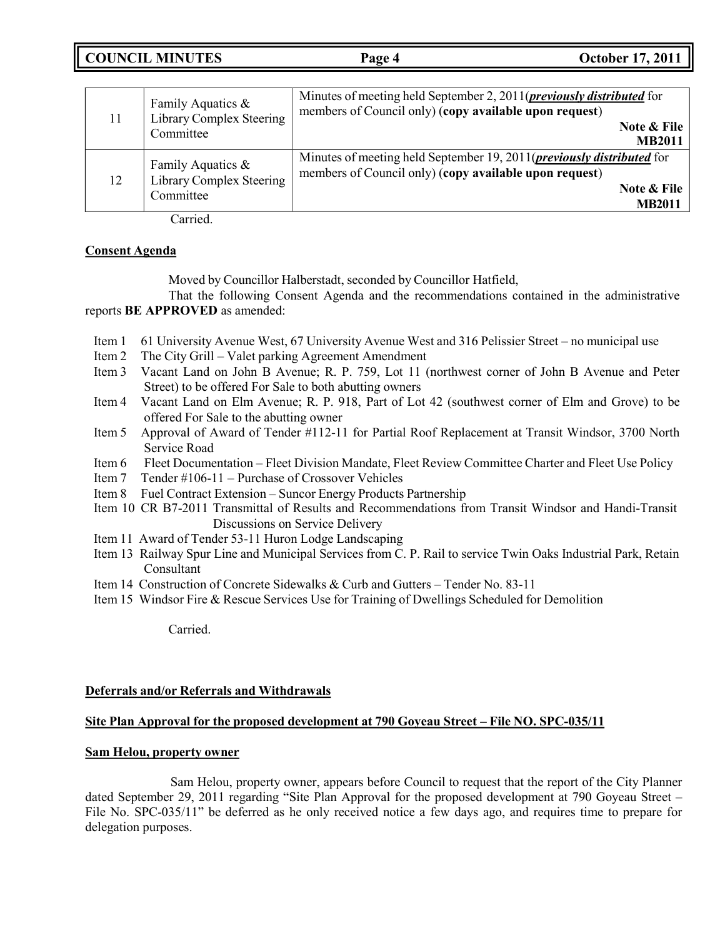**COUNCIL MINUTES Page 4 October 17, 2011**

| 11 | Family Aquatics &<br>Library Complex Steering<br>Committee    | Minutes of meeting held September 2, 2011( <i>previously distributed</i> for<br>members of Council only) (copy available upon request)<br>Note & File<br><b>MB2011</b>  |
|----|---------------------------------------------------------------|-------------------------------------------------------------------------------------------------------------------------------------------------------------------------|
| 12 | Family Aquatics $\&$<br>Library Complex Steering<br>Committee | Minutes of meeting held September 19, 2011( <i>previously distributed</i> for<br>members of Council only) (copy available upon request)<br>Note & File<br><b>MB2011</b> |

Carried.

### **Consent Agenda**

Moved by Councillor Halberstadt, seconded by Councillor Hatfield,

That the following Consent Agenda and the recommendations contained in the administrative reports **BE APPROVED** as amended:

- Item 1 61 University Avenue West, 67 University Avenue West and 316 Pelissier Street no municipal use
- Item 2 The City Grill Valet parking Agreement Amendment
- Item 3 Vacant Land on John B Avenue; R. P. 759, Lot 11 (northwest corner of John B Avenue and Peter Street) to be offered For Sale to both abutting owners
- Item 4 Vacant Land on Elm Avenue; R. P. 918, Part of Lot 42 (southwest corner of Elm and Grove) to be offered For Sale to the abutting owner
- Item 5 Approval of Award of Tender #112-11 for Partial Roof Replacement at Transit Windsor, 3700 North Service Road
- Item 6 Fleet Documentation Fleet Division Mandate, Fleet Review Committee Charter and Fleet Use Policy
- Item 7 Tender #106-11 Purchase of Crossover Vehicles
- Item 8 Fuel Contract Extension Suncor Energy Products Partnership
- Item 10 CR B7-2011 Transmittal of Results and Recommendations from Transit Windsor and Handi-Transit Discussions on Service Delivery
- Item 11 Award of Tender 53-11 Huron Lodge Landscaping
- Item 13 Railway Spur Line and Municipal Services from C. P. Rail to service Twin Oaks Industrial Park, Retain Consultant
- Item 14 Construction of Concrete Sidewalks & Curb and Gutters Tender No. 83-11
- Item 15 Windsor Fire & Rescue Services Use for Training of Dwellings Scheduled for Demolition

Carried.

#### **Deferrals and/or Referrals and Withdrawals**

#### **Site Plan Approval for the proposed development at 790 Goyeau Street – File NO. SPC-035/11**

#### **Sam Helou, property owner**

Sam Helou, property owner, appears before Council to request that the report of the City Planner dated September 29, 2011 regarding "Site Plan Approval for the proposed development at 790 Goyeau Street – File No. SPC-035/11" be deferred as he only received notice a few days ago, and requires time to prepare for delegation purposes.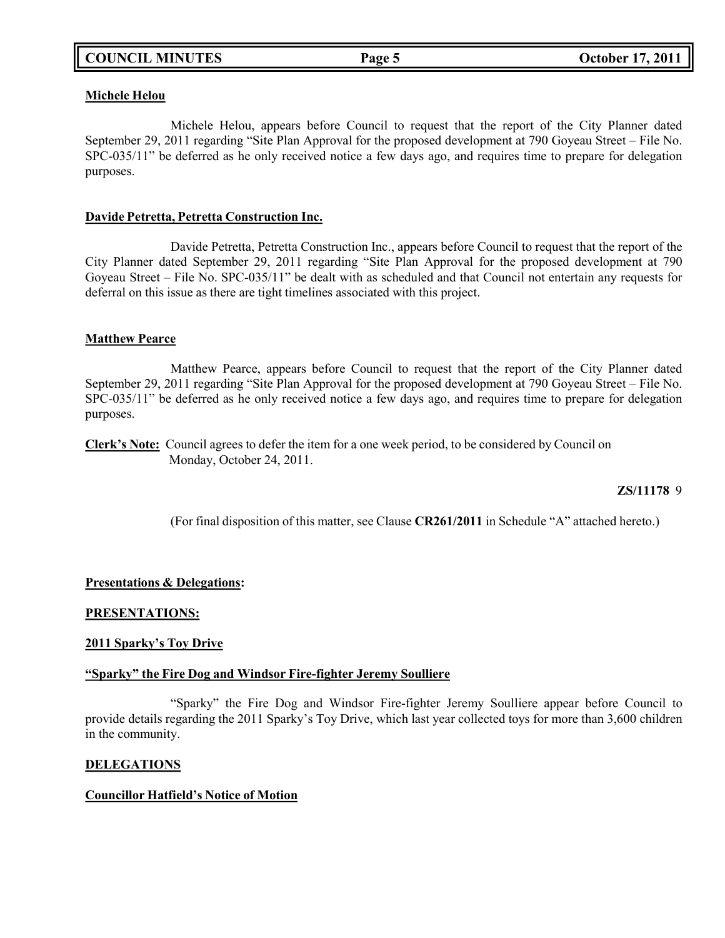#### **Michele Helou**

Michele Helou, appears before Council to request that the report of the City Planner dated September 29, 2011 regarding "Site Plan Approval for the proposed development at 790 Goyeau Street – File No. SPC-035/11" be deferred as he only received notice a few days ago, and requires time to prepare for delegation purposes.

#### **Davide Petretta, Petretta Construction Inc.**

Davide Petretta, Petretta Construction Inc., appears before Council to request that the report of the City Planner dated September 29, 2011 regarding "Site Plan Approval for the proposed development at 790 Goyeau Street – File No. SPC-035/11" be dealt with as scheduled and that Council not entertain any requests for deferral on this issue as there are tight timelines associated with this project.

#### **Matthew Pearce**

Matthew Pearce, appears before Council to request that the report of the City Planner dated September 29, 2011 regarding "Site Plan Approval for the proposed development at 790 Goyeau Street – File No. SPC-035/11" be deferred as he only received notice a few days ago, and requires time to prepare for delegation purposes.

**Clerk's Note:** Council agrees to defer the item for a one week period, to be considered by Council on Monday, October 24, 2011.

#### **ZS/11178** 9

(For final disposition of this matter, see Clause **CR261/2011** in Schedule "A" attached hereto.)

#### **Presentations & Delegations:**

#### **PRESENTATIONS:**

#### **2011 Sparky's Toy Drive**

#### **"Sparky" the Fire Dog and Windsor Fire-fighter Jeremy Soulliere**

"Sparky" the Fire Dog and Windsor Fire-fighter Jeremy Soulliere appear before Council to provide details regarding the 2011 Sparky's Toy Drive, which last year collected toys for more than 3,600 children in the community.

#### **DELEGATIONS**

#### **Councillor Hatfield's Notice of Motion**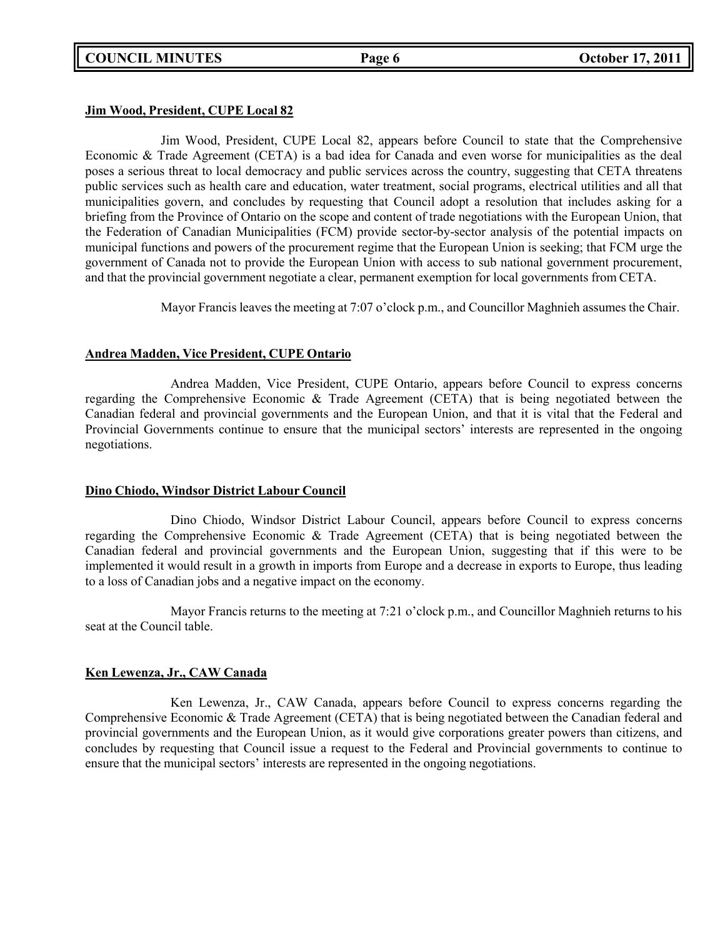# **COUNCIL MINUTES Page 6 October 17, 2011**

### **Jim Wood, President, CUPE Local 82**

Jim Wood, President, CUPE Local 82, appears before Council to state that the Comprehensive Economic & Trade Agreement (CETA) is a bad idea for Canada and even worse for municipalities as the deal poses a serious threat to local democracy and public services across the country, suggesting that CETA threatens public services such as health care and education, water treatment, social programs, electrical utilities and all that municipalities govern, and concludes by requesting that Council adopt a resolution that includes asking for a briefing from the Province of Ontario on the scope and content of trade negotiations with the European Union, that the Federation of Canadian Municipalities (FCM) provide sector-by-sector analysis of the potential impacts on municipal functions and powers of the procurement regime that the European Union is seeking; that FCM urge the government of Canada not to provide the European Union with access to sub national government procurement, and that the provincial government negotiate a clear, permanent exemption for local governments from CETA.

Mayor Francis leaves the meeting at 7:07 o'clock p.m., and Councillor Maghnieh assumes the Chair.

### **Andrea Madden, Vice President, CUPE Ontario**

Andrea Madden, Vice President, CUPE Ontario, appears before Council to express concerns regarding the Comprehensive Economic & Trade Agreement (CETA) that is being negotiated between the Canadian federal and provincial governments and the European Union, and that it is vital that the Federal and Provincial Governments continue to ensure that the municipal sectors' interests are represented in the ongoing negotiations.

#### **Dino Chiodo, Windsor District Labour Council**

Dino Chiodo, Windsor District Labour Council, appears before Council to express concerns regarding the Comprehensive Economic & Trade Agreement (CETA) that is being negotiated between the Canadian federal and provincial governments and the European Union, suggesting that if this were to be implemented it would result in a growth in imports from Europe and a decrease in exports to Europe, thus leading to a loss of Canadian jobs and a negative impact on the economy.

Mayor Francis returns to the meeting at 7:21 o'clock p.m., and Councillor Maghnieh returns to his seat at the Council table.

#### **Ken Lewenza, Jr., CAW Canada**

Ken Lewenza, Jr., CAW Canada, appears before Council to express concerns regarding the Comprehensive Economic & Trade Agreement (CETA) that is being negotiated between the Canadian federal and provincial governments and the European Union, as it would give corporations greater powers than citizens, and concludes by requesting that Council issue a request to the Federal and Provincial governments to continue to ensure that the municipal sectors' interests are represented in the ongoing negotiations.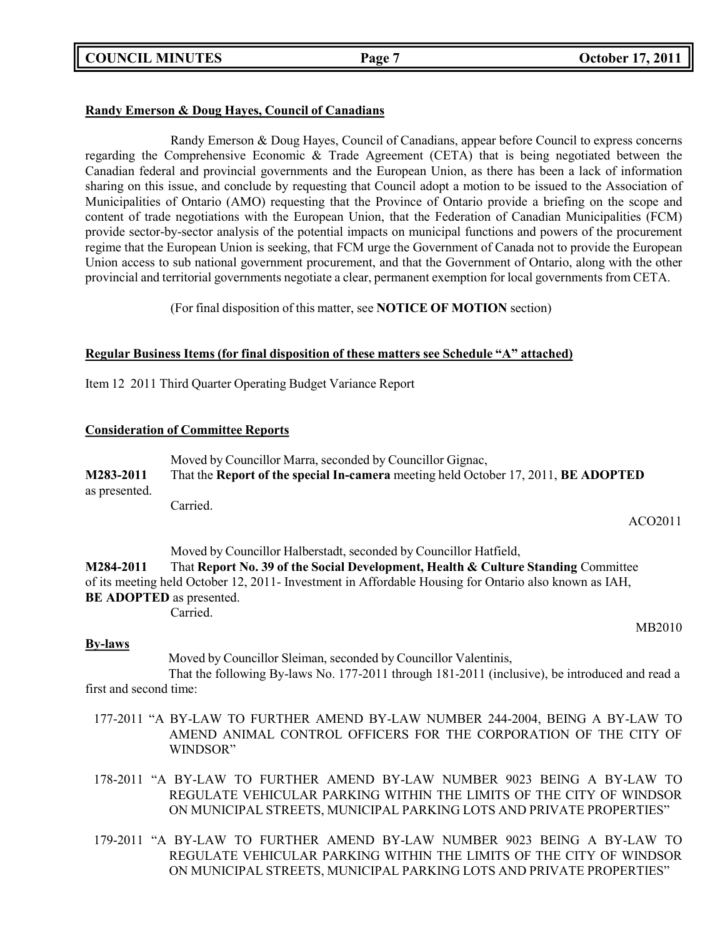**COUNCIL MINUTES Page 7 October 17, 2011**

# **Randy Emerson & Doug Hayes, Council of Canadians**

Randy Emerson & Doug Hayes, Council of Canadians, appear before Council to express concerns regarding the Comprehensive Economic & Trade Agreement (CETA) that is being negotiated between the Canadian federal and provincial governments and the European Union, as there has been a lack of information sharing on this issue, and conclude by requesting that Council adopt a motion to be issued to the Association of Municipalities of Ontario (AMO) requesting that the Province of Ontario provide a briefing on the scope and content of trade negotiations with the European Union, that the Federation of Canadian Municipalities (FCM) provide sector-by-sector analysis of the potential impacts on municipal functions and powers of the procurement regime that the European Union is seeking, that FCM urge the Government of Canada not to provide the European Union access to sub national government procurement, and that the Government of Ontario, along with the other provincial and territorial governments negotiate a clear, permanent exemption for local governments from CETA.

(For final disposition of this matter, see **NOTICE OF MOTION** section)

### **Regular Business Items (for final disposition of these matters see Schedule "A" attached)**

Item 12 2011 Third Quarter Operating Budget Variance Report

### **Consideration of Committee Reports**

|               | Moved by Councillor Marra, seconded by Councillor Gignac,                          |
|---------------|------------------------------------------------------------------------------------|
| M283-2011     | That the Report of the special In-camera meeting held October 17, 2011, BE ADOPTED |
| as presented. |                                                                                    |
|               | Carried.                                                                           |

Moved by Councillor Halberstadt, seconded by Councillor Hatfield,

**M284-2011** That **Report No. 39 of the Social Development, Health & Culture Standing** Committee of its meeting held October 12, 2011- Investment in Affordable Housing for Ontario also known as IAH, **BE ADOPTED** as presented.

Carried.

MB2010

ACO2011

#### **By-laws**

Moved by Councillor Sleiman, seconded by Councillor Valentinis,

That the following By-laws No. 177-2011 through 181-2011 (inclusive), be introduced and read a first and second time:

- 177-2011 "A BY-LAW TO FURTHER AMEND BY-LAW NUMBER 244-2004, BEING A BY-LAW TO AMEND ANIMAL CONTROL OFFICERS FOR THE CORPORATION OF THE CITY OF WINDSOR"
- 178-2011 "A BY-LAW TO FURTHER AMEND BY-LAW NUMBER 9023 BEING A BY-LAW TO REGULATE VEHICULAR PARKING WITHIN THE LIMITS OF THE CITY OF WINDSOR ON MUNICIPAL STREETS, MUNICIPAL PARKING LOTS AND PRIVATE PROPERTIES"
- 179-2011 "A BY-LAW TO FURTHER AMEND BY-LAW NUMBER 9023 BEING A BY-LAW TO REGULATE VEHICULAR PARKING WITHIN THE LIMITS OF THE CITY OF WINDSOR ON MUNICIPAL STREETS, MUNICIPAL PARKING LOTS AND PRIVATE PROPERTIES"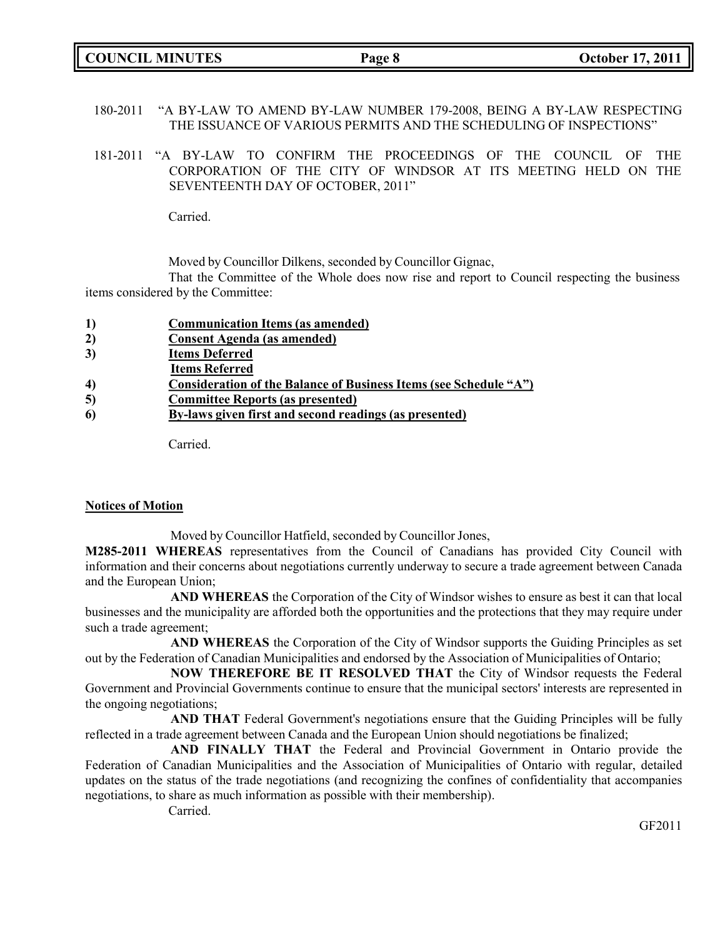|  | <b>COUNCIL MINUTES</b> |
|--|------------------------|
|--|------------------------|

- 180-2011 "A BY-LAW TO AMEND BY-LAW NUMBER 179-2008, BEING A BY-LAW RESPECTING THE ISSUANCE OF VARIOUS PERMITS AND THE SCHEDULING OF INSPECTIONS"
- 181-2011 "A BY-LAW TO CONFIRM THE PROCEEDINGS OF THE COUNCIL OF THE CORPORATION OF THE CITY OF WINDSOR AT ITS MEETING HELD ON THE SEVENTEENTH DAY OF OCTOBER, 2011"

Carried.

Moved by Councillor Dilkens, seconded by Councillor Gignac,

That the Committee of the Whole does now rise and report to Council respecting the business items considered by the Committee:

- **2) Consent Agenda (as amended)**
- **3) Items Deferred**
- **Items Referred**
- **4) Consideration of the Balance of Business Items (see Schedule "A")**
- **5) Committee Reports (as presented)**
- **6) By-laws given first and second readings (as presented)**

Carried.

#### **Notices of Motion**

Moved by Councillor Hatfield, seconded by Councillor Jones,

**M285-2011 WHEREAS** representatives from the Council of Canadians has provided City Council with information and their concerns about negotiations currently underway to secure a trade agreement between Canada and the European Union;

**AND WHEREAS** the Corporation of the City of Windsor wishes to ensure as best it can that local businesses and the municipality are afforded both the opportunities and the protections that they may require under such a trade agreement;

**AND WHEREAS** the Corporation of the City of Windsor supports the Guiding Principles as set out by the Federation of Canadian Municipalities and endorsed by the Association of Municipalities of Ontario;

**NOW THEREFORE BE IT RESOLVED THAT** the City of Windsor requests the Federal Government and Provincial Governments continue to ensure that the municipal sectors' interests are represented in the ongoing negotiations;

**AND THAT** Federal Government's negotiations ensure that the Guiding Principles will be fully reflected in a trade agreement between Canada and the European Union should negotiations be finalized;

**AND FINALLY THAT** the Federal and Provincial Government in Ontario provide the Federation of Canadian Municipalities and the Association of Municipalities of Ontario with regular, detailed updates on the status of the trade negotiations (and recognizing the confines of confidentiality that accompanies negotiations, to share as much information as possible with their membership).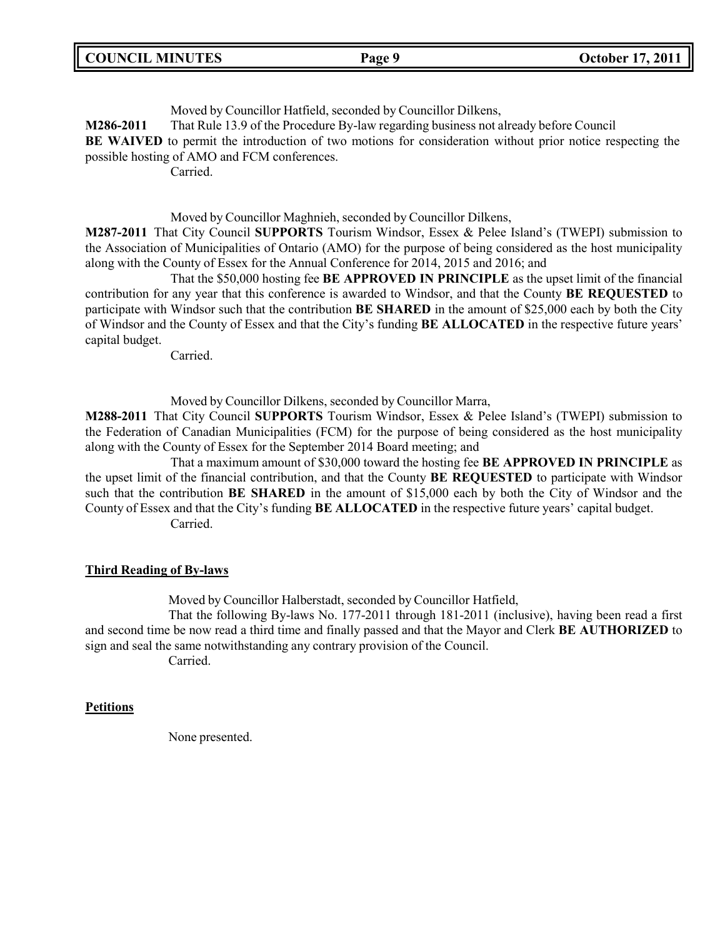|  | <b>COUNCIL MINUTES</b> |
|--|------------------------|
|--|------------------------|

Moved by Councillor Hatfield, seconded by Councillor Dilkens, **M286-2011** That Rule 13.9 of the Procedure By-law regarding business not already before Council **BE WAIVED** to permit the introduction of two motions for consideration without prior notice respecting the possible hosting of AMO and FCM conferences. Carried.

Moved by Councillor Maghnieh, seconded by Councillor Dilkens,

**M287-2011** That City Council **SUPPORTS** Tourism Windsor, Essex & Pelee Island's (TWEPI) submission to the Association of Municipalities of Ontario (AMO) for the purpose of being considered as the host municipality along with the County of Essex for the Annual Conference for 2014, 2015 and 2016; and

That the \$50,000 hosting fee **BE APPROVED IN PRINCIPLE** as the upset limit of the financial contribution for any year that this conference is awarded to Windsor, and that the County **BE REQUESTED** to participate with Windsor such that the contribution **BE SHARED** in the amount of \$25,000 each by both the City of Windsor and the County of Essex and that the City's funding **BE ALLOCATED** in the respective future years' capital budget.

Carried.

Moved by Councillor Dilkens, seconded by Councillor Marra,

**M288-2011** That City Council **SUPPORTS** Tourism Windsor, Essex & Pelee Island's (TWEPI) submission to the Federation of Canadian Municipalities (FCM) for the purpose of being considered as the host municipality along with the County of Essex for the September 2014 Board meeting; and

That a maximum amount of \$30,000 toward the hosting fee **BE APPROVED IN PRINCIPLE** as the upset limit of the financial contribution, and that the County **BE REQUESTED** to participate with Windsor such that the contribution **BE SHARED** in the amount of \$15,000 each by both the City of Windsor and the County of Essex and that the City's funding **BE ALLOCATED** in the respective future years' capital budget. Carried.

#### **Third Reading of By-laws**

Moved by Councillor Halberstadt, seconded by Councillor Hatfield,

That the following By-laws No. 177-2011 through 181-2011 (inclusive), having been read a first and second time be now read a third time and finally passed and that the Mayor and Clerk **BE AUTHORIZED** to sign and seal the same notwithstanding any contrary provision of the Council.

Carried.

#### **Petitions**

None presented.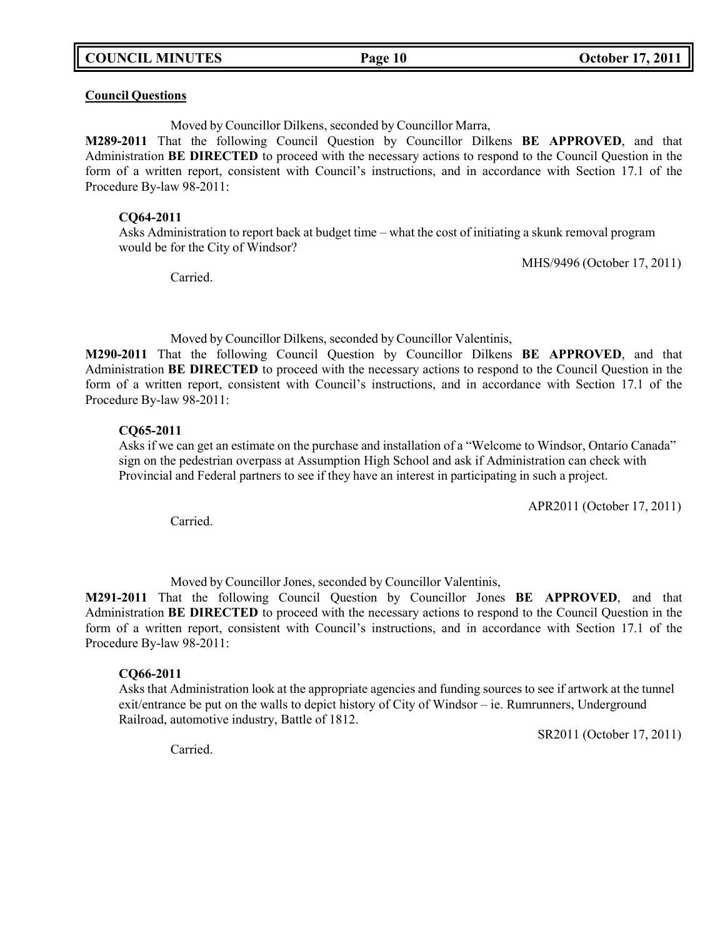**COUNCIL MINUTES Page 10 October 17, 2011**

#### **Council Questions**

Moved by Councillor Dilkens, seconded by Councillor Marra,

**M289-2011** That the following Council Question by Councillor Dilkens **BE APPROVED**, and that Administration **BE DIRECTED** to proceed with the necessary actions to respond to the Council Question in the form of a written report, consistent with Council's instructions, and in accordance with Section 17.1 of the Procedure By-law 98-2011:

#### **CQ64-2011**

Asks Administration to report back at budget time – what the cost of initiating a skunk removal program would be for the City of Windsor?

MHS/9496 (October 17, 2011)

Carried.

Moved by Councillor Dilkens, seconded by Councillor Valentinis,

**M290-2011** That the following Council Question by Councillor Dilkens **BE APPROVED**, and that Administration **BE DIRECTED** to proceed with the necessary actions to respond to the Council Question in the form of a written report, consistent with Council's instructions, and in accordance with Section 17.1 of the Procedure By-law 98-2011:

#### **CQ65-2011**

Asks if we can get an estimate on the purchase and installation of a "Welcome to Windsor, Ontario Canada" sign on the pedestrian overpass at Assumption High School and ask if Administration can check with Provincial and Federal partners to see if they have an interest in participating in such a project.

APR2011 (October 17, 2011)

Carried.

Moved by Councillor Jones, seconded by Councillor Valentinis,

**M291-2011** That the following Council Question by Councillor Jones **BE APPROVED**, and that Administration **BE DIRECTED** to proceed with the necessary actions to respond to the Council Question in the form of a written report, consistent with Council's instructions, and in accordance with Section 17.1 of the Procedure By-law 98-2011:

#### **CQ66-2011**

Asks that Administration look at the appropriate agencies and funding sources to see if artwork at the tunnel exit/entrance be put on the walls to depict history of City of Windsor – ie. Rumrunners, Underground Railroad, automotive industry, Battle of 1812.

SR2011 (October 17, 2011)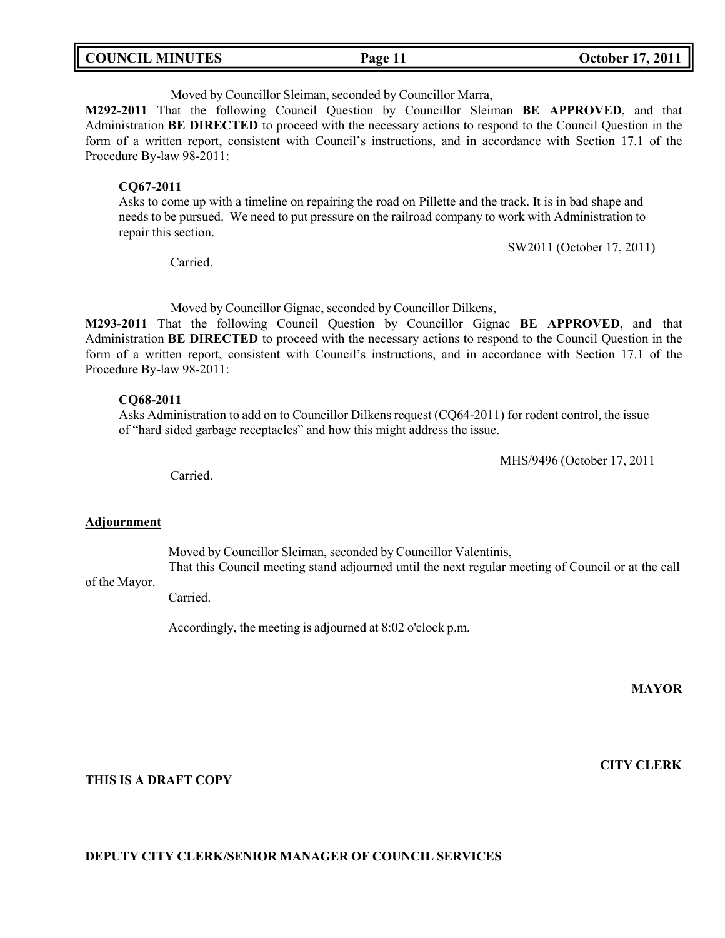| <b>COUNCIL MINUTES</b><br>Page 11 | <b>October 17, 2011</b> |
|-----------------------------------|-------------------------|
|-----------------------------------|-------------------------|

Moved by Councillor Sleiman, seconded by Councillor Marra,

**M292-2011** That the following Council Question by Councillor Sleiman **BE APPROVED**, and that Administration **BE DIRECTED** to proceed with the necessary actions to respond to the Council Question in the form of a written report, consistent with Council's instructions, and in accordance with Section 17.1 of the Procedure By-law 98-2011:

#### **CQ67-2011**

Asks to come up with a timeline on repairing the road on Pillette and the track. It is in bad shape and needs to be pursued. We need to put pressure on the railroad company to work with Administration to repair this section.

Carried.

Moved by Councillor Gignac, seconded by Councillor Dilkens,

**M293-2011** That the following Council Question by Councillor Gignac **BE APPROVED**, and that Administration **BE DIRECTED** to proceed with the necessary actions to respond to the Council Question in the form of a written report, consistent with Council's instructions, and in accordance with Section 17.1 of the Procedure By-law 98-2011:

#### **CQ68-2011**

Asks Administration to add on to Councillor Dilkens request (CQ64-2011) for rodent control, the issue of "hard sided garbage receptacles" and how this might address the issue.

MHS/9496 (October 17, 2011

SW2011 (October 17, 2011)

Carried.

#### **Adjournment**

of the Mayor.

Moved by Councillor Sleiman, seconded by Councillor Valentinis,

That this Council meeting stand adjourned until the next regular meeting of Council or at the call

Carried.

Accordingly, the meeting is adjourned at 8:02 o'clock p.m.

**MAYOR**

**CITY CLERK**

#### **THIS IS A DRAFT COPY**

#### **DEPUTY CITY CLERK/SENIOR MANAGER OF COUNCIL SERVICES**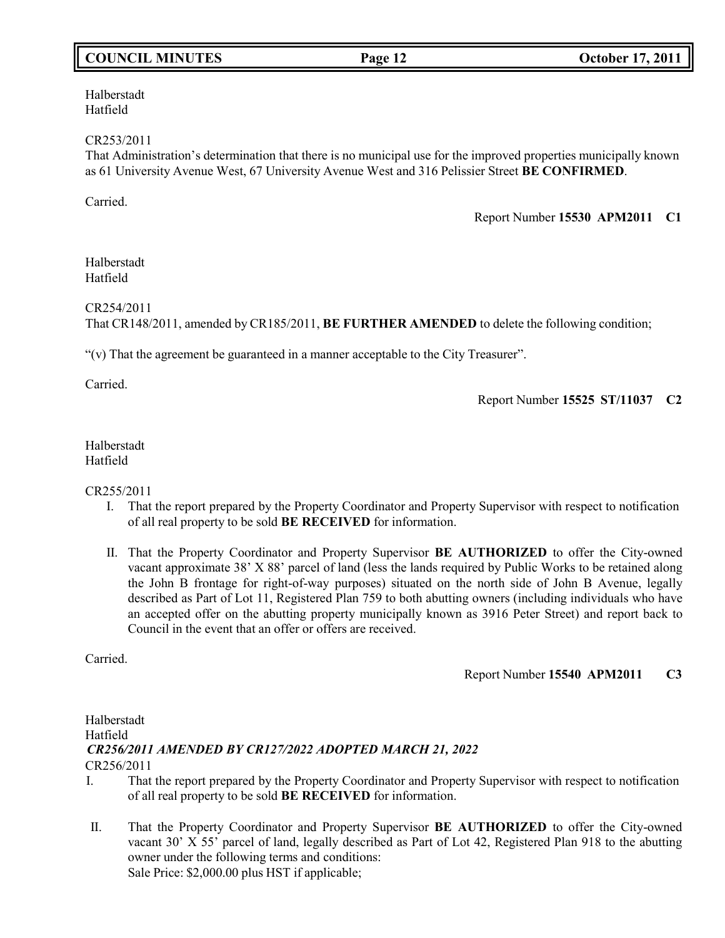# **COUNCIL MINUTES Page 12 October 17, 2011**

Halberstadt Hatfield

CR253/2011

That Administration's determination that there is no municipal use for the improved properties municipally known as 61 University Avenue West, 67 University Avenue West and 316 Pelissier Street **BE CONFIRMED**.

Carried.

Report Number **15530 APM2011 C1**

Halberstadt Hatfield

CR254/2011

That CR148/2011, amended by CR185/2011, **BE FURTHER AMENDED** to delete the following condition;

"(v) That the agreement be guaranteed in a manner acceptable to the City Treasurer".

Carried.

Report Number **15525 ST/11037 C2**

Halberstadt Hatfield

CR255/2011

- I. That the report prepared by the Property Coordinator and Property Supervisor with respect to notification of all real property to be sold **BE RECEIVED** for information.
- II. That the Property Coordinator and Property Supervisor **BE AUTHORIZED** to offer the City-owned vacant approximate 38' X 88' parcel of land (less the lands required by Public Works to be retained along the John B frontage for right-of-way purposes) situated on the north side of John B Avenue, legally described as Part of Lot 11, Registered Plan 759 to both abutting owners (including individuals who have an accepted offer on the abutting property municipally known as 3916 Peter Street) and report back to Council in the event that an offer or offers are received.

Carried.

Report Number **15540 APM2011 C3**

### Halberstadt Hatfield CR256/2011 *CR256/2011 AMENDED BY CR127/2022 ADOPTED MARCH 21, 2022*

- I. That the report prepared by the Property Coordinator and Property Supervisor with respect to notification of all real property to be sold **BE RECEIVED** for information.
- II. That the Property Coordinator and Property Supervisor **BE AUTHORIZED** to offer the City-owned vacant 30' X 55' parcel of land, legally described as Part of Lot 42, Registered Plan 918 to the abutting owner under the following terms and conditions: Sale Price: \$2,000.00 plus HST if applicable;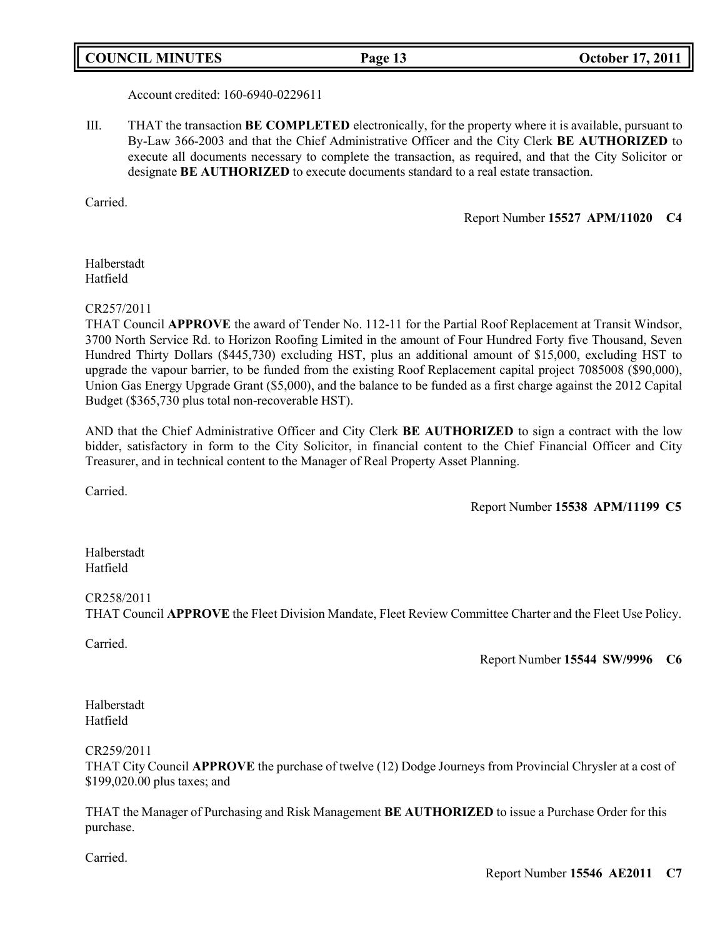# **COUNCIL MINUTES Page 13 October 17, 2011**

Account credited: 160-6940-0229611

III. THAT the transaction **BE COMPLETED** electronically, for the property where it is available, pursuant to By-Law 366-2003 and that the Chief Administrative Officer and the City Clerk **BE AUTHORIZED** to execute all documents necessary to complete the transaction, as required, and that the City Solicitor or designate **BE AUTHORIZED** to execute documents standard to a real estate transaction.

Carried.

Report Number **15527 APM/11020 C4**

Halberstadt Hatfield

#### CR257/2011

THAT Council **APPROVE** the award of Tender No. 112-11 for the Partial Roof Replacement at Transit Windsor, 3700 North Service Rd. to Horizon Roofing Limited in the amount of Four Hundred Forty five Thousand, Seven Hundred Thirty Dollars (\$445,730) excluding HST, plus an additional amount of \$15,000, excluding HST to upgrade the vapour barrier, to be funded from the existing Roof Replacement capital project 7085008 (\$90,000), Union Gas Energy Upgrade Grant (\$5,000), and the balance to be funded as a first charge against the 2012 Capital Budget (\$365,730 plus total non-recoverable HST).

AND that the Chief Administrative Officer and City Clerk **BE AUTHORIZED** to sign a contract with the low bidder, satisfactory in form to the City Solicitor, in financial content to the Chief Financial Officer and City Treasurer, and in technical content to the Manager of Real Property Asset Planning.

Carried.

Report Number **15538 APM/11199 C5**

Halberstadt Hatfield

#### CR258/2011

THAT Council **APPROVE** the Fleet Division Mandate, Fleet Review Committee Charter and the Fleet Use Policy.

Carried.

Report Number **15544 SW/9996 C6**

Halberstadt Hatfield

CR259/2011

THAT City Council **APPROVE** the purchase of twelve (12) Dodge Journeys from Provincial Chrysler at a cost of \$199,020.00 plus taxes; and

THAT the Manager of Purchasing and Risk Management **BE AUTHORIZED** to issue a Purchase Order for this purchase.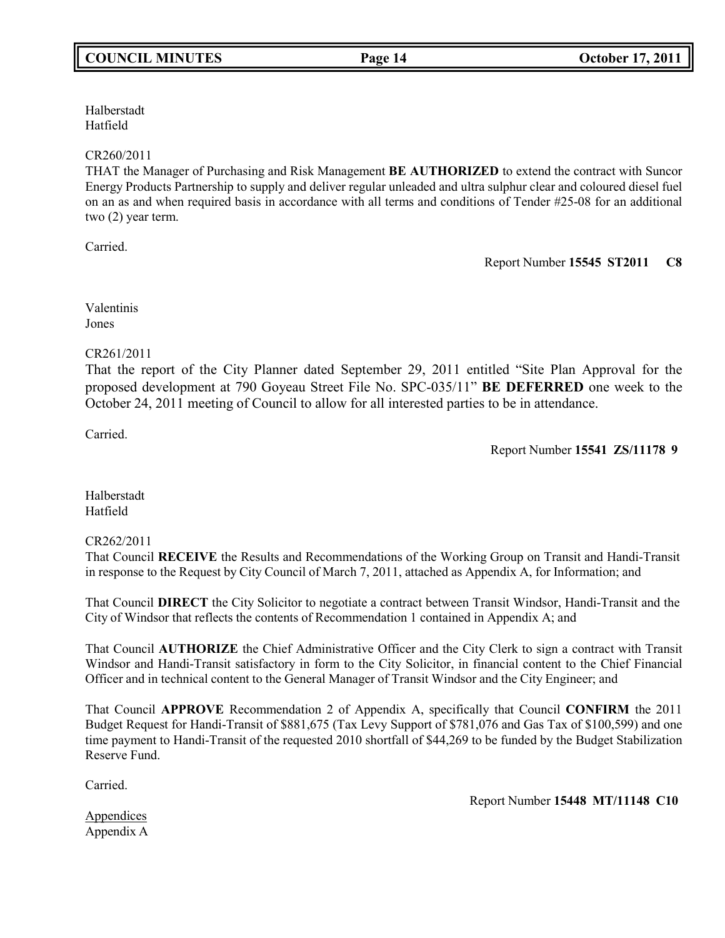# Halberstadt

# Hatfield

# CR260/2011

THAT the Manager of Purchasing and Risk Management **BE AUTHORIZED** to extend the contract with Suncor Energy Products Partnership to supply and deliver regular unleaded and ultra sulphur clear and coloured diesel fuel on an as and when required basis in accordance with all terms and conditions of Tender #25-08 for an additional two (2) year term.

Carried.

Report Number **15545 ST2011 C8**

Valentinis Jones

### CR261/2011

That the report of the City Planner dated September 29, 2011 entitled "Site Plan Approval for the proposed development at 790 Goyeau Street File No. SPC-035/11" **BE DEFERRED** one week to the October 24, 2011 meeting of Council to allow for all interested parties to be in attendance.

Carried.

Report Number **15541 ZS/11178 9**

Halberstadt Hatfield

# CR262/2011

That Council **RECEIVE** the Results and Recommendations of the Working Group on Transit and Handi-Transit in response to the Request by City Council of March 7, 2011, attached as Appendix A, for Information; and

That Council **DIRECT** the City Solicitor to negotiate a contract between Transit Windsor, Handi-Transit and the City of Windsor that reflects the contents of Recommendation 1 contained in Appendix A; and

That Council **AUTHORIZE** the Chief Administrative Officer and the City Clerk to sign a contract with Transit Windsor and Handi-Transit satisfactory in form to the City Solicitor, in financial content to the Chief Financial Officer and in technical content to the General Manager of Transit Windsor and the City Engineer; and

That Council **APPROVE** Recommendation 2 of Appendix A, specifically that Council **CONFIRM** the 2011 Budget Request for Handi-Transit of \$881,675 (Tax Levy Support of \$781,076 and Gas Tax of \$100,599) and one time payment to Handi-Transit of the requested 2010 shortfall of \$44,269 to be funded by the Budget Stabilization Reserve Fund.

Carried.

Report Number **15448 MT/11148 C10**

Appendices

Appendix A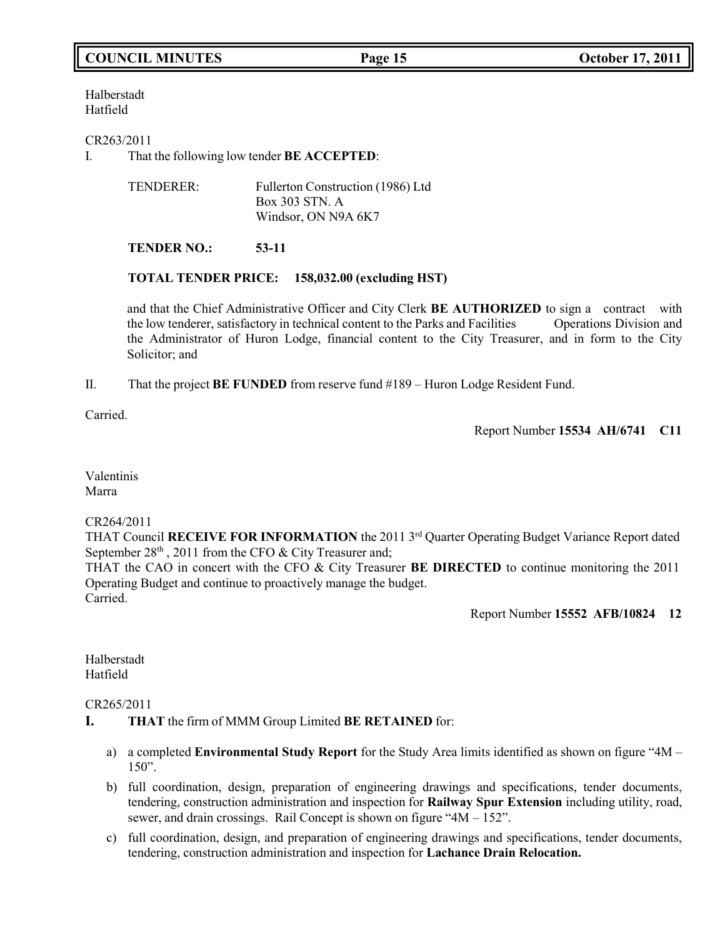# **COUNCIL MINUTES Page 15 October 17, 2011**

Halberstadt Hatfield

CR263/2011

I. That the following low tender **BE ACCEPTED**:

| TENDERER: | Fullerton Construction (1986) Ltd |
|-----------|-----------------------------------|
|           | Box 303 STN. A                    |
|           | Windsor, ON N9A 6K7               |

# **TENDER NO.: 53-11**

#### **TOTAL TENDER PRICE: 158,032.00 (excluding HST)**

and that the Chief Administrative Officer and City Clerk **BE AUTHORIZED** to sign a contract with the low tenderer, satisfactory in technical content to the Parks and Facilities Operations Division and the Administrator of Huron Lodge, financial content to the City Treasurer, and in form to the City Solicitor; and

II. That the project **BE FUNDED** from reserve fund #189 – Huron Lodge Resident Fund.

Carried.

Report Number **15534 AH/6741 C11**

Valentinis Marra

#### CR264/2011

THAT Council **RECEIVE FOR INFORMATION** the 2011 3 rd Quarter Operating Budget Variance Report dated September 28<sup>th</sup>, 2011 from the CFO & City Treasurer and;

THAT the CAO in concert with the CFO & City Treasurer **BE DIRECTED** to continue monitoring the 2011 Operating Budget and continue to proactively manage the budget. Carried.

Report Number **15552 AFB/10824 12**

Halberstadt Hatfield

#### CR265/2011

- **I. THAT** the firm of MMM Group Limited **BE RETAINED** for:
	- a) a completed **Environmental Study Report** for the Study Area limits identified as shown on figure "4M 150".
	- b) full coordination, design, preparation of engineering drawings and specifications, tender documents, tendering, construction administration and inspection for **Railway Spur Extension** including utility, road, sewer, and drain crossings. Rail Concept is shown on figure "4M – 152".
	- c) full coordination, design, and preparation of engineering drawings and specifications, tender documents, tendering, construction administration and inspection for **Lachance Drain Relocation.**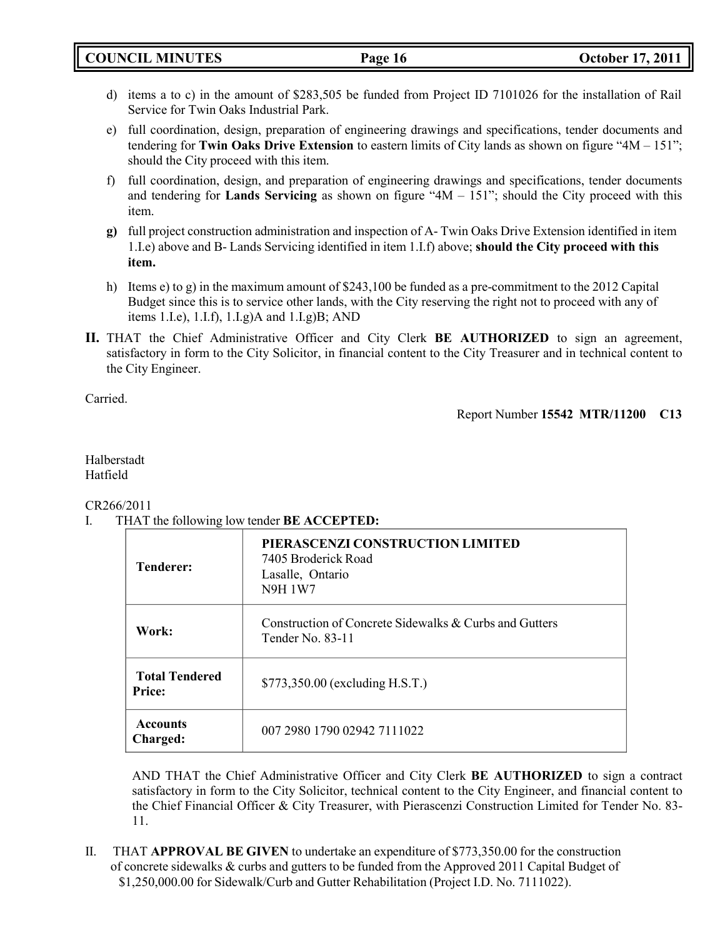**COUNCIL MINUTES Page 16 October 17, 2011**

- d) items a to c) in the amount of \$283,505 be funded from Project ID 7101026 for the installation of Rail Service for Twin Oaks Industrial Park.
- e) full coordination, design, preparation of engineering drawings and specifications, tender documents and tendering for **Twin Oaks Drive Extension** to eastern limits of City lands as shown on figure "4M – 151"; should the City proceed with this item.
- f) full coordination, design, and preparation of engineering drawings and specifications, tender documents and tendering for **Lands Servicing** as shown on figure "4M – 151"; should the City proceed with this item.
- **g)** full project construction administration and inspection of A- Twin Oaks Drive Extension identified in item 1.I.e) above and B- Lands Servicing identified in item 1.I.f) above; **should the City proceed with this item.**
- h) Items e) to g) in the maximum amount of \$243,100 be funded as a pre-commitment to the 2012 Capital Budget since this is to service other lands, with the City reserving the right not to proceed with any of items 1.I.e), 1.I.f),  $1.I.g$ )A and  $1.I.g$ )B; AND
- **II.** THAT the Chief Administrative Officer and City Clerk **BE AUTHORIZED** to sign an agreement, satisfactory in form to the City Solicitor, in financial content to the City Treasurer and in technical content to the City Engineer.

Carried.

# Report Number **15542 MTR/11200 C13**

# Halberstadt Hatfield

CR266/2011

I. THAT the following low tender **BE ACCEPTED:**

| <b>Tenderer:</b>                       | PIERASCENZI CONSTRUCTION LIMITED<br>7405 Broderick Road<br>Lasalle, Ontario<br><b>N9H 1W7</b> |
|----------------------------------------|-----------------------------------------------------------------------------------------------|
| Work:                                  | Construction of Concrete Sidewalks & Curbs and Gutters<br>Tender No. 83-11                    |
| <b>Total Tendered</b><br><b>Price:</b> | \$773,350.00 (excluding H.S.T.)                                                               |
| <b>Accounts</b><br>Charged:            | 007 2980 1790 02942 7111022                                                                   |

AND THAT the Chief Administrative Officer and City Clerk **BE AUTHORIZED** to sign a contract satisfactory in form to the City Solicitor, technical content to the City Engineer, and financial content to the Chief Financial Officer & City Treasurer, with Pierascenzi Construction Limited for Tender No. 83- 11.

II. THAT **APPROVAL BE GIVEN** to undertake an expenditure of \$773,350.00 for the construction of concrete sidewalks & curbs and gutters to be funded from the Approved 2011 Capital Budget of \$1,250,000.00 for Sidewalk/Curb and Gutter Rehabilitation (Project I.D. No. 7111022).